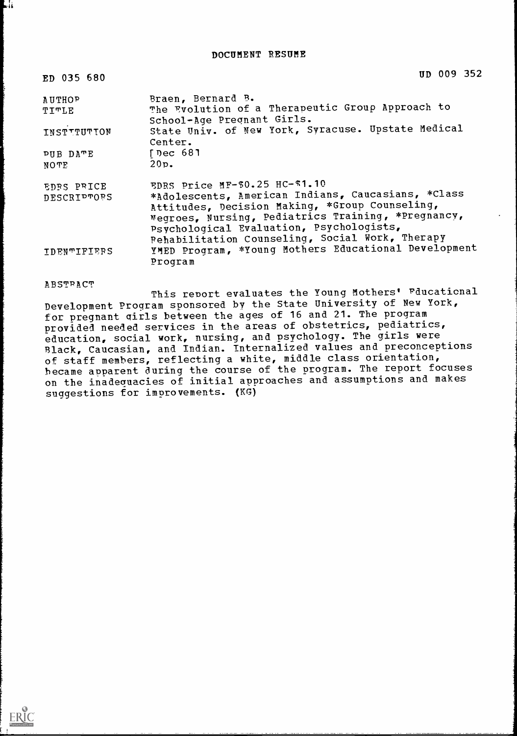| ED 035 680         | UD 009 352                                                                                                                                                                                                                                                |
|--------------------|-----------------------------------------------------------------------------------------------------------------------------------------------------------------------------------------------------------------------------------------------------------|
| AUTHOP<br>TITLE    | Braen, Bernard B.<br>The Evolution of a Therapeutic Group Approach to                                                                                                                                                                                     |
|                    | School-Age Pregnant Girls.                                                                                                                                                                                                                                |
| INSTITUTION        | State Univ. of New York, Syracuse. Upstate Medical<br>Center.                                                                                                                                                                                             |
| PUB DATE           | [Dec 681                                                                                                                                                                                                                                                  |
| NOTE               | 20p.                                                                                                                                                                                                                                                      |
| EDBS PRICE         | EDRS Price MF-\$0.25 HC-\$1.10                                                                                                                                                                                                                            |
| <b>DESCRIPTOES</b> | *Adolescents, American Indians, Caucasians, *Class<br>Attitudes, Decision Making, *Group Counseling,<br>Negroes, Nursing, Pediatrics Training, *Pregnancy,<br>Psychological Evaluation, Psychologists,<br>Pehabilitation Counseling, Social Work, Therapy |
| <b>IDENTIFIERS</b> | YMED Program, *Young Mothers Educational Development                                                                                                                                                                                                      |
|                    | Program                                                                                                                                                                                                                                                   |

#### **ABSTRACT**

 $\sum_{\lambda_{\textrm{full last Product by EBC}}}$ 

it

This report evaluates the Young Mothers' Pducaticnal Development Program sponsored by the State University of New York, for pregnant girls between the ages of 16 and 21. The program provided needed services in the areas of obstetrics, pediatrics, education, social work, nursing, and psychology. The girls were Black, Caucasian, and Indian. Internalized values and preconceptions of staff members, reflecting a white, middle class orientation, became apparent during the course of the program. The report focuses on the inadequacies of initial approaches and assumptions and makes suggestions for improvements. (KG)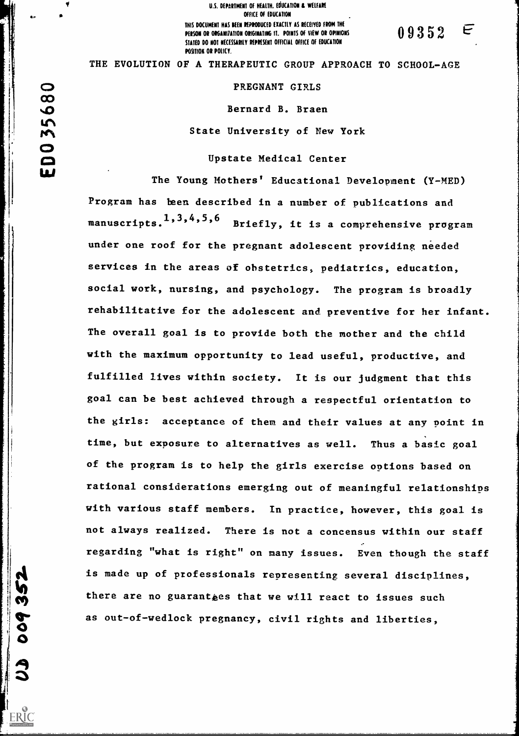U.S. DEPARTMENT OF HEALTH. EDUCATION & WELFARE OFFICE Of EDUCATION THIS DOCUMENT HAS BEEN REPRODUCED EXACTLY AS RECEIVED FROM THE PERSON OR ORGANIZATION ORIGINATING IT. POINTS OF VIEW OR OPINICINS  $\begin{array}{cc} 0.9352 \end{array}$ STATED DO NOT NECESSARILY REPRESENT OFFICIAL OFFICE OF EDUCATION POSITION OR POLICY.

THE EVOLUTION OF A THERAPEUTIC GROUP APPROACH TO SCHOOL-AGE

#### PREGNANT GIRLS

Bernard B. Braen

State University of New York

# Upstate Medical Center

The Young Mothers' Educational Development (Y-MED) Program has been described in a number of publications and manuscripts. $^1,^3,^4,^5,^6$   $_{\rm Br:}$  <sup>6</sup> Briefly, it is a comprehensive program under one roof for the pregnant adolescent providing needed services in the areas of obstetrics, pediatrics, education, social work, nursing, and psychology. The program is broadly rehabilitative for the adolescent and preventive for her infant. The overall goal is to provide both the mother and the child with the maximum opportunity to lead useful, productive, and fulfilled lives within society. It is our judgment that this goal can be best achieved through a respectful orientation to the girls: acceptance of them and their values at any point in time, but exposure to alternatives as well. Thus a basic goal of the program is to help the girls exercise options based on rational considerations emerging out of meaningful relationships with various staff members. In practice, however, this goal is not always realized. There is not a concensus within our staff regarding "what is right" on many issues. Even though the staff is made up of professionals representing several disciplines, there are no guaranties that we will react to issues such as out-of-wedlock pregnancy, civil rights and liberties,

 $\infty$  and  $\infty$ Lim1  $\overline{O}$ 

O<br>O

ERIC

rent de la provincia de la provincia de la provincia de la provincia de la provincia de la provincia de la pro<br>Estados de la provincia de la provincia de la provincia de la provincia de la provincia de la provincia de la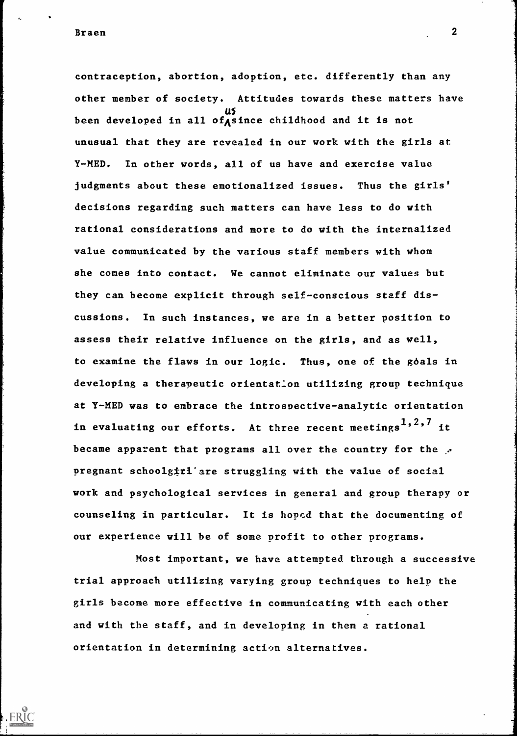Braen 2016 - 2020 - 2020 - 2020 - 2020 - 2020 - 2020 - 2020 - 2020 - 2020 - 2020 - 2020 - 2020 - 2020 - 2020 -

contraception, abortion, adoption, etc. differently than any other member of society. Attitudes towards these matters have been developed in all of since childhood and it is not unusual that they are revealed in our work with the girls at Y-MED. In other words, all of us have and exercise value judgments about these emotionalized issues. Thus the girls' decisions regarding such matters can have less to do with rational considerations and more to do with the internalized value communicated by the various staff members with whom she cones into contact. We cannot eliminate our values but they can become explicit through self-conscious staff discussions. In such instances, we are in a better position to assess their relative influence on the girls, and as well, to examine the flaws in our logic. Thus, one of the goals in developing a therapeutic orientation utilizing group technique at Y-MED was to embrace the introspective-analytic orientation in evaluating our efforts. At three recent meetings<sup>1,2,7</sup> it became apparent that programs all over the country for the  $\mathcal{F}$ pregnant schoolg $\sharp$ rl'are struggling with the value of social work and psychological services in general and group therapy or counseling in particular. It is hoped that the documenting of our experience will be of some profit to other programs.

Most important, we have attempted through a successive trial approach utilizing varying group techniques to help the girls become more effective in communicating with each other and with the staff, and in developing in them a rational orientation in determining action alternatives.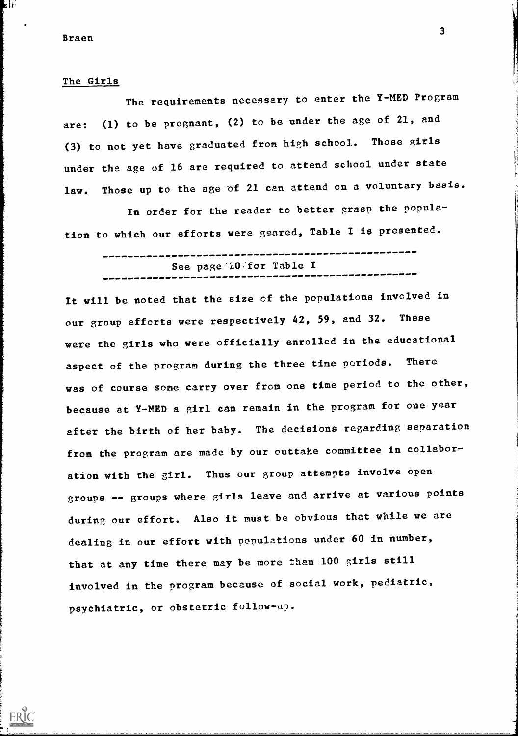kl⊧

 $ERIC$ 

## The Girls

The requirements necessary to enter the Y-MED Program are: (1) to be pregnant, (2) to be under the age of 21, and (3) to not yet have graduated from high school. Those girls under the age of 16 are required to attend school under state law. Those up to the age of 21 can attend on a voluntary basis.

In order for the reader to better grasp the population to which our efforts were geared, Table I is presented.

| See page 20 for Table I |
|-------------------------|
|                         |

It will be noted that the size of the populations involved in our group efforts were respectively 42, 59, and 32. These were the girls who were officially enrolled in the educational aspect of the program during the three time periods. There was of course some carry over from one time period to the other, because at Y-MED a girl can remain in the program for one year after the birth of her baby. The decisions regarding separation from the program are made by our outtake committee in collaboration with the girl. Thus our group attempts involve open groups -- groups where girls leave and arrive at various points during our effort. Also it must be obvious that while we are dealing in our effort with populations under 60 in number, that at any time there may be more than 100 girls still involved in the program because of social work, pediatric, psychiatric, or obstetric follow-up.

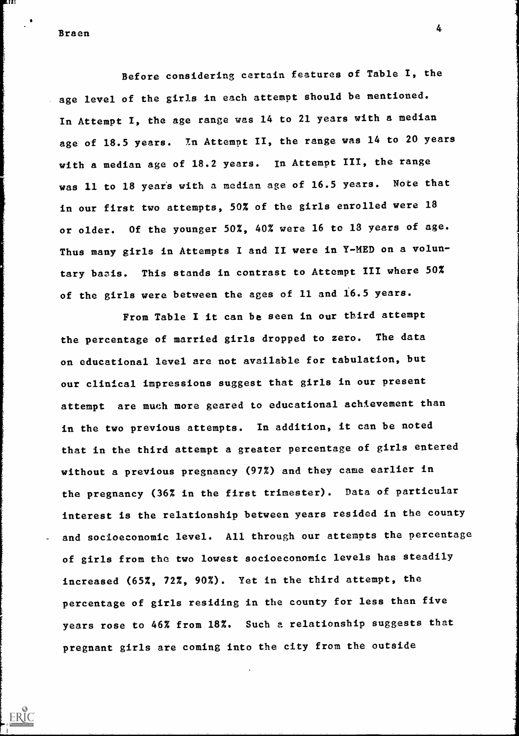Braen 4 and 2012 and 2012 and 2012 and 2012 and 2012 and 2012 and 2012 and 2012 and 2012 and 2012 and 2012 and

6.IZI

Before considering certain features of Table I, the age level of the girls in each attempt should be mentioned. In Attempt I, the age range was 14 to 21 years with a median age of 18.5 years. In Attempt II, the range was 14 to 20 years with a median age of 18.2 years. In Attempt III, the range was 11 to 18 years with a median age of 16.5 years. Note that in our first two attempts, 50% of the girls enrolled were 18 or older. Of the younger 50%, 40% were 16 to 18 years of age. Thus many girls in Attempts I and II were in Y-MED on a voluntary basis. This stands in contrast to Attempt III where 50% of the girls were between the ages of 11 and 16.5 years.

From Table I it can be seen in our third attempt the percentage of married girls dropped to zero. The data on educational level are not available for tabulation, but our clinical impressions suggest that girls in our present attempt are much more geared to educational achievement than in the two previous attempts. In addition, it can be noted that in the third attempt a greater percentage of girls entered without a previous pregnancy (97%) and they came earlier in the pregnancy (36% in the first trimester). Data of particular interest is the relationship between years resided in the county and socioeconomic level. All through our attempts the percentage of girls from the two lowest socioeconomic levels has steadily increased (65%, 72%, 90%). Yet in the third attempt, the percentage of girls residing in the county for less than five years rose to 46% from 18%. Such a relationship suggests that pregnant girls are coming into the city from the outside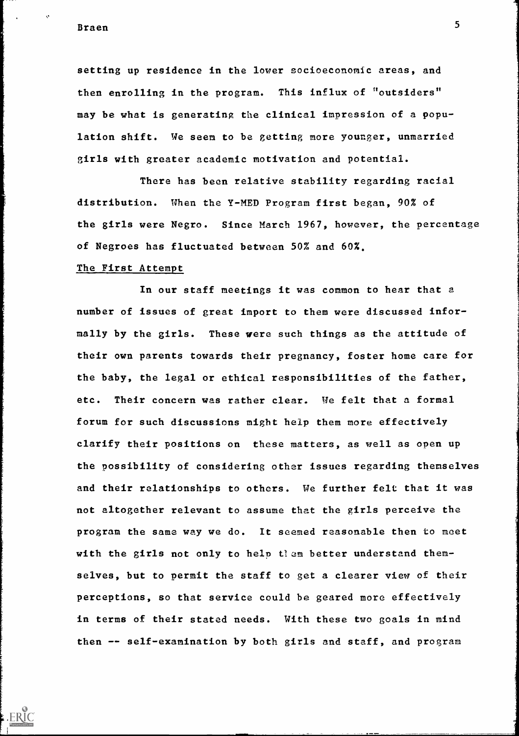Braen 5 and 5 and 5 and 5 and 5 and 5 and 5 and 5 and 5 and 5 and 5 and 5 and 5 and 5 and 5 and 5 and 5 and 5

setting up residence in the lower socioeconomic areas, and then enrolling in the program. This influx of "outsiders" may be what is generating the clinical impression of a population shift. We seem to be getting more younger, unmarried girls with greater academic motivation and potential.

There has been relative stability regarding racial distribution. When the Y-MED Program first began, 90% of the girls were Negro. Since March 1967, however, the percentage of Negroes has fluctuated between 50% and 60%.

### The First Attempt

In our staff meetings it was common to hear that a number of issues of great import to them were discussed informally by the girls. These were such things as the attitude of their own parents towards their pregnancy, foster home care for the baby, the legal or ethical responsibilities of the father, etc. Their concern was rather clear. We felt that a formal forum for such discussions might help them more effectively clarify their positions on these matters, as well as open up the possibility of considering other issues regarding themselves and their relationships to others. We further felt that it was not altogether relevant to assume that the girls perceive the program the same way we do. It seemed reasonable then to meet with the girls not only to help them better understand themselves, but to permit the staff to get a clearer view of their perceptions, so that service could be geared more effectively in terms of their stated needs. With these two goals in mind then -- self-examination by both girls and staff, and program

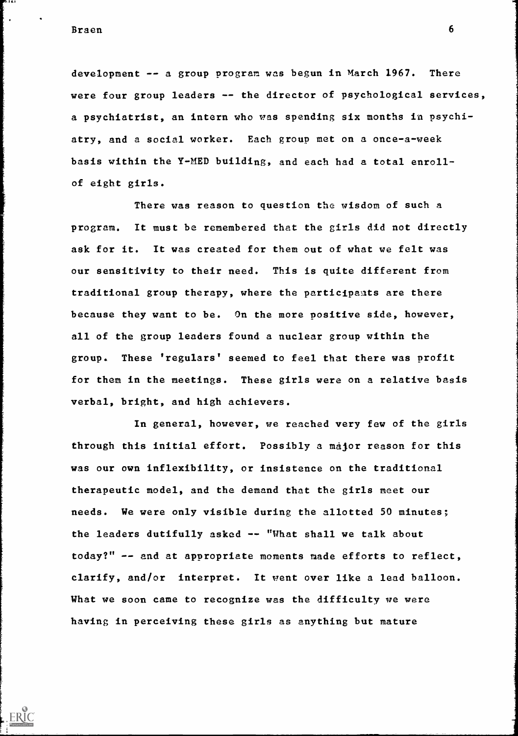Braen 6

. . . .

 $ERIC$ 

development -- a group program was begun in March 1967. There were four group leaders -- the director of psychological services, a psychiatrist, an intern who was spending six months in psychiatry, and a social worker. Each group met on a once-a-week basis within the Y-MED building, and each had a total enrollof eight girls.

There was reason to question the wisdom of such a program. It must be remembered that the girls did not directly ask for it. It was created for them out of what we felt was our sensitivity to their need. This is quite different from traditional group therapy, where the participants are there because they want to be. On the more positive side, however, all of the group leaders found a nuclear group within the group. These 'regulars' seemed to feel that there was profit for them in the meetings. These girls were on a relative basis verbal, bright, and high achievers.

In general, however, we reached very few of the girls through this initial effort. Possibly a major reason for this was our own inflexibility, or insistence on the traditional therapeutic model, and the demand that the girls meet our needs. We were only visible during the allotted 50 minutes; the leaders dutifully asked -- "What shall we talk about today?" -- and at appropriate moments made efforts to reflect, clarify, and/or interpret. It went over like a lead balloon. What we soon came to recognize was the difficulty we were having in perceiving these girls as anything but mature

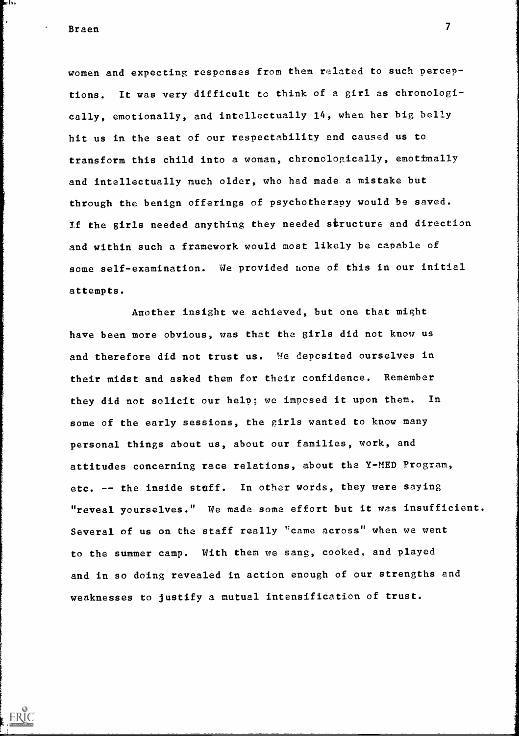Braen 7

۰۱ د ا

ERIC

women and expecting responses from them related to such perceptions. It was very difficult to think of a girl as chronologically, emotionally, and intellectually 14, when her big belly hit us in the seat of our respectability and caused us to transform this child into a woman, chronologically, emotionally and intellectually much older, who had made a mistake but through the benign offerings of psychotherapy would be saved. If the girls needed anything they needed structure and direction and within such a framework would most likely be capable of some self-examination. We provided uone of this in our initial attempts.

Another insight we achieved, but one that might have been more obvious, was that the girls did not know us and therefore did not trust us. We deposited ourselves in their midst and asked them for their confidence. Remember they did not solicit our help, we imposed it upon them. In some of the early sessions, the girls wanted to know many personal things about us, about our families, work, and attitudes concerning race relations, about the Y-MED Program, etc. -- the inside staff. In other words, they were saying "reveal yourselves." We made some effort but it was insufficient. Several of us on the staff really "came across" when we went to the summer camp. With them we sang, cooked, and played and in so doing revealed in action enough of our strengths and weaknesses to justify a mutual intensification of trust.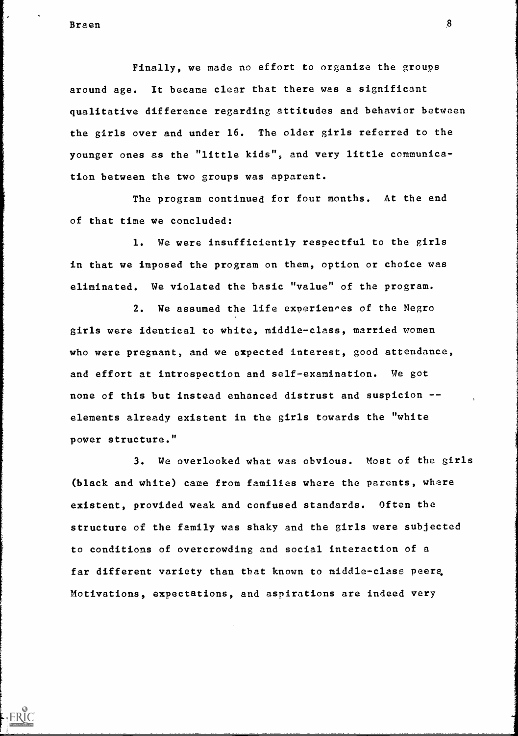$ERIC$ 

Finally, we made no effort to organize the groups around age. It became clear that there was a significant qualitative difference regarding attitudes and behavior between the girls over and under 16. The older girls referred to the younger ones as the "little kids", and very little communication between the two groups was apparent.

The program continued for four months. At the end of that time we concluded:

1. We were insufficiently respectful to the girls in that we imposed the program on them, option or choice was eliminated. We violated the basic "value" of the program.

2. We assumed the life experiences of the Negro girls were identical to white, middle-class, married women who were pregnant, and we expected interest, good attendance, and effort at introspection and self-examination. We got none of this but instead enhanced distrust and suspicion - elements already existent in the girls towards the "white power structure."

3. We overlooked what was obvious. Most of the girls (black and white) came from families where the parents, where existent, provided weak and confused standards. Often the structure of the family was shaky and the girls were subjected to conditions of overcrowding and social interaction of a far different variety than that known to middle-class peers. Motivations, expectations, and aspirations are indeed very

8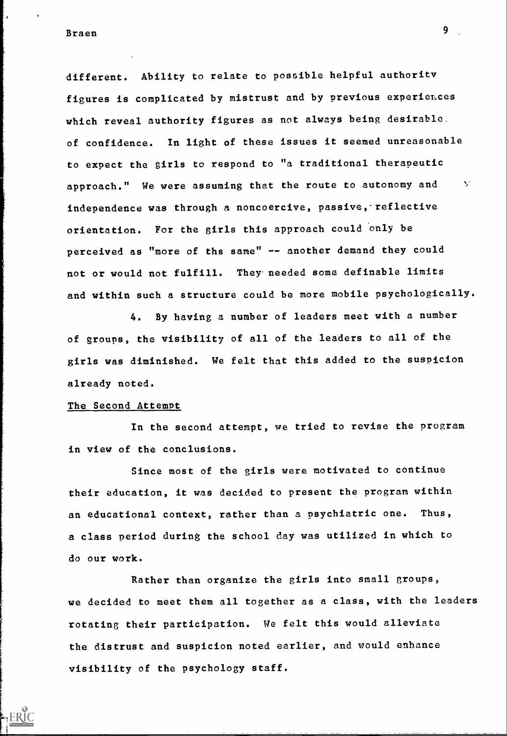different. Ability to relate to possible helpful authority figures is complicated by mistrust and by previous experiences which reveal authority figures as not always being desirable. of confidence. In light of these issues it seemed unreasonable to expect the girls to respond to "a traditional therapeutic approach." We were assuming that the route to autonomy and  $\vee$ independence was through a noncoercive, passive, reflective orientation. For the girls this approach could only be perceived as "more of the same" -- another demand they could not or would not fulfill. They needed some definable limits and within such a structure could be more mobile psychologically.

4. By having a number of leaders meet with a number of groups, the visibility of all of the leaders to all of the girls was diminished. We felt that this added to the suspicion already noted.

#### The Second Attempt

In the second attempt, we tried to revise the program in view of the conclusions.

Since most of the girls were motivated to continue their education, it was decided to present the program within an educational context, rather than a psychiatric one. Thus, a class period during the school day was utilized in which to do our work.

Rather than organize the girls into small groups, we decided to meet them all together as a class, with the leaders rotating their participation. We felt this would alleviate the distrust and suspicion noted earlier, and would enhance visibility of the psychology staff.

9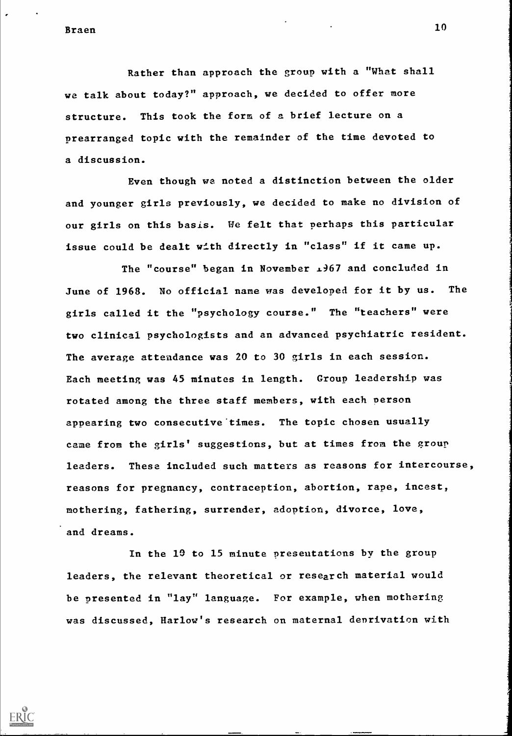ERIC

Rather than approach the group with a "What shall we talk about today?" approach, we decided to offer more structure. This took the form of a brief lecture on a prearranged topic with the remainder of the time devoted to a discussion.

Even though we noted a distinction between the older and younger girls previously, we decided to make no division of our girls on this basis. We felt that perhaps this particular issue could be dealt with directly in "class" if it came up.

The "course" began in November  $\pm 167$  and concluded in June of 1968. No official name was developed for it by us. The girls called it the "psychology course." The "teachers" were two clinical psychologists and an advanced psychiatric resident. The average attendance was 20 to 30 girls in each session. Each meeting was 45 minutes in length. Group leadership was rotated among the three staff members, with each person appearing two consecutive times. The topic chosen usually came from the girls' suggestions, but at times from the group leaders. These included such matters as reasons for intercourse, reasons for pregnancy, contraception, abortion, rape, incest, mothering, fathering, surrender, adoption, divorce, love, and dreams.

In the 19 to 15 minute presentations by the group leaders, the relevant theoretical or research material would be presented in "lay" language. For example, when mothering was discussed, Harlow's research on maternal deprivation with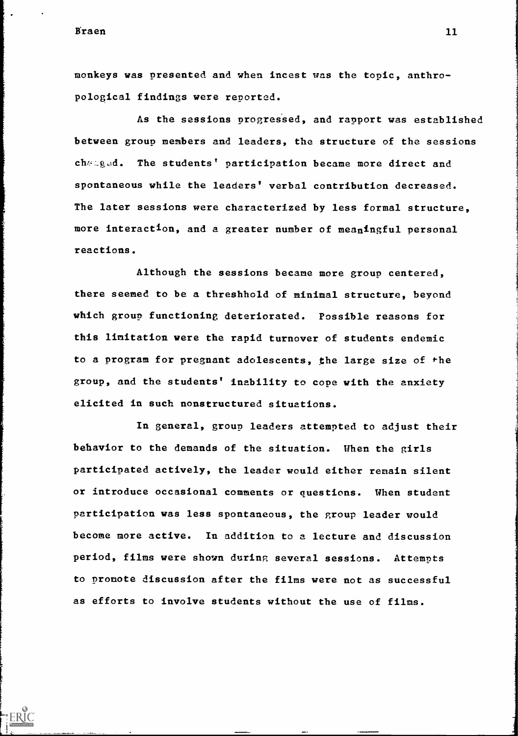ERIC

monkeys was presented and when incest was the topic, anthropological findings were reported.

As the sessions progressed, and rapport was established between group members and leaders, the structure of the sessions changed. The students' participation became more direct and spontaneous while the leaders' verbal contribution decreased. The later sessions were characterized by less formal structure, more interaction, and a greater number of meaningful personal reactions.

Although the sessions became more group centered, there seemed to be a threshhold of minimal structure, beyond which group functioning deteriorated. Possible reasons for this limitation were the rapid turnover of students endemic to a program for pregnant adolescents, the large size of the group, and the students' inability to cope with the anxiety elicited in such nonstructured situations.

In general, group leaders attempted to adjust their behavior to the demands of the situation. When the girls participated actively, the leader would either remain silent or introduce occasional comments or questions. When student Participation was less spontaneous, the group leader would become more active. In addition to a lecture and discussion period, films were shown during several sessions. Attempts to Promote discussion after the films were not as successful as efforts to involve students without the use of films.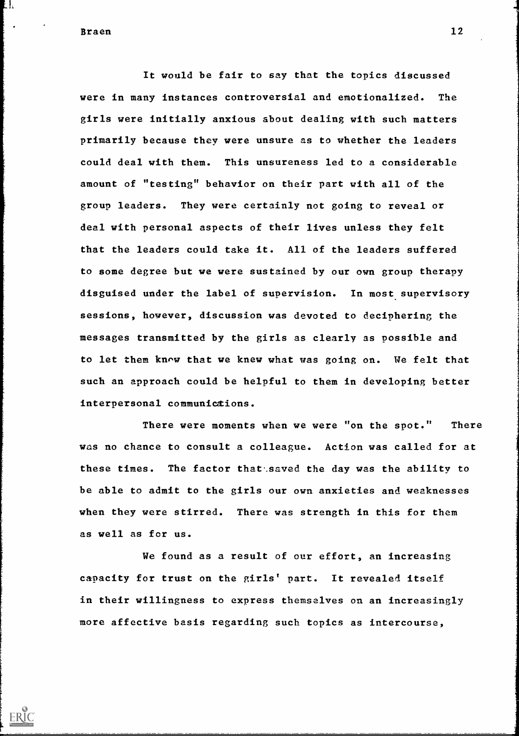L I.

ERIC

It would be fair to say that the topics discussed were in many instances controversial and emotionalized. The girls were initially anxious about dealing with such matters primarily because they were unsure as to whether the leaders could deal with them. This unsureness led to a considerable amount of "testing" behavior on their part with all of the group leaders. They were certainly not going to reveal or deal with personal aspects of their lives unless they felt that the leaders could take it. All of the leaders suffered to some degree but we were sustained by our own group therapy disguised under the label of supervision. In most supervisory sessions, however, discussion was devoted to deciphering the messages transmitted by the girls as clearly as possible and to let them know that we knew what was going on. We felt that such an approach could be helpful to them in developing better interpersonal communictions.

There were moments when we were "on the spot." There was no chance to consult a colleague. Action was called for at these times. The factor that saved the day was the ability to be able to admit to the girls our own anxieties and weaknesses when they were stirred. There was strength in this for them as well as for us.

We found as a result of our effort, an increasing capacity for trust on the girls' part. It revealed itself in their willingness to express themselves on an increasingly more affective basis regarding such topics as intercourse,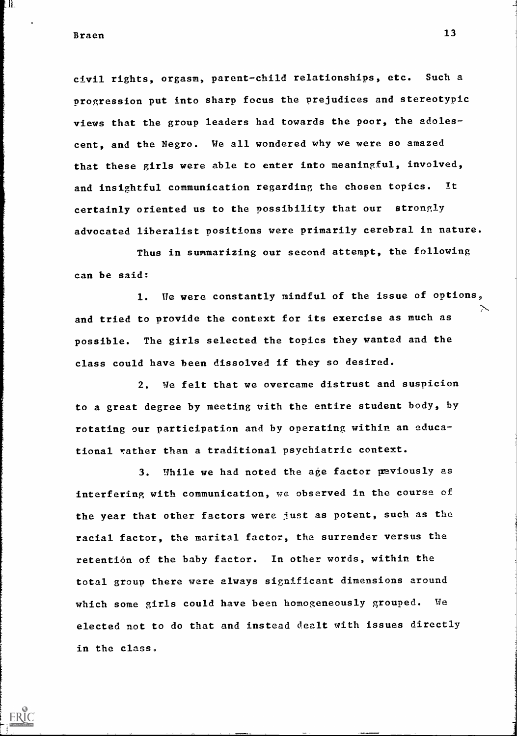Braen 13

II.

civil rights, orgasm, parent-child relationships, etc. Such a progression put into sharp focus the prejudices and stereotypic views that the group leaders had towards the poor, the adolescent, and the Negro. We all wondered why we were so amazed that these girls were able to enter into meaningful, involved, and insightful communication regarding the chosen topics. certainly oriented us to the possibility that our strongly advocated liberalist positions were primarily cerebral in nature. Tt

Thus in summarizing our second attempt, the following can be said:

1. He were constantly mindful of the issue of options, and tried to provide the context for its exercise as much as possible. The girls selected the topics they wanted and the class could have been dissolved if they so desired.

2. We felt that we overcame distrust and suspicion to a great degree by meeting with the entire student body, by rotating our participation and by operating within an educational rather than a traditional psychiatric context.

3. While we had noted the age factor peviously as interfering with communication, we observed in the course of the year that other factors were just as potent, such as the racial factor, the marital factor, the surrender versus the retention of the baby factor. In other words, within the total group there were always significant dimensions around which some girls could have been homogeneously grouped. We elected not to do that and instead dealt with issues directly in the class.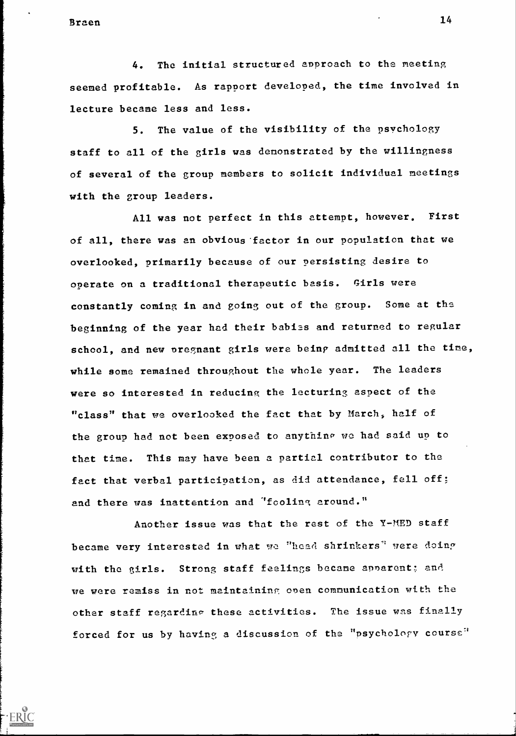Braen and the set of the set of the set of the set of the set of the set of the set of the set of the set of the set of the set of the set of the set of the set of the set of the set of the set of the set of the set of the

4. The initial structured approach to the neeting seemed profitable. As rapport developed, the time involved in lecture became less and less.

5. The value of the visibility of the psychology staff to all of the girls was demonstrated by the willingness of several of the group members to solicit individual meetings with the group leaders.

All was not perfect in this attempt, however, First of all, there was an obvious factor in our population that we overlooked, primarily because of our persisting desire to operate on a traditional therapeutic basis. Girls were constantly coming in and going out of the group. Some at the beginning of the year had their babies and returned to regular school, and new pregnant girls were being admitted all the time, while some remained throughout the whole year. The leaders were so interested in reducing the lecturing aspect of the "class" that we overlooked the fact that by March, half of the group had not been exposed to anything we had said up to that time. This may have been a partial contributor to the fact that verbal participation, as did attendance, fell off; and there was inattention and 'fooling around."

Another issue was that the rest of the Y-MED staff became very interested in what we "heed shrinkers' were doing with the girls. Strong staff feelings became annarent; and we were remiss in not maintaininr, onen communication with the other staff regarding these activities. The issue was finally forced for us by having a discussion of the "psychology course"

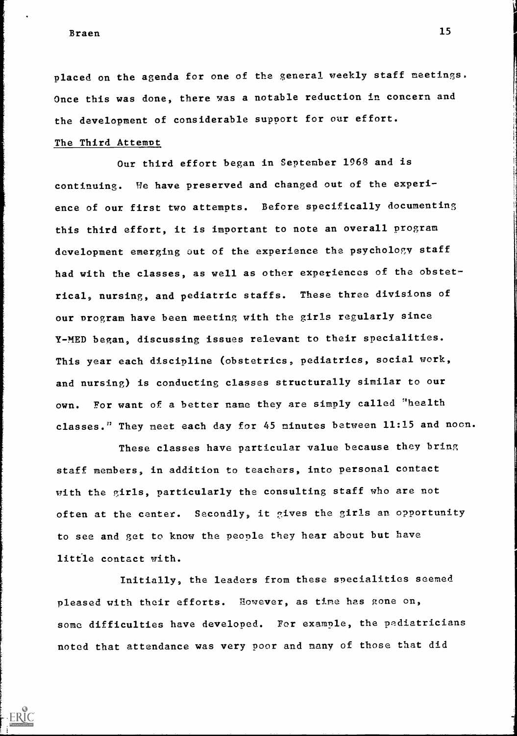placed on the agenda for one of the general weekly staff meetings. Once this was done, there was a notable reduction in concern and the development of considerable support for our effort.

## The Third Attempt

Our third effort began in September 1968 and is continuing. We have preserved and changed out of the experience of our first two attempts. Before specifically documenting this third effort, it is important to note an overall program development emerging out of the experience the psychology staff had with the classes, as well as other experiences of the obstetrical, nursing, and pediatric staffs. These three divisions of our program have been meeting with the girls regularly since Y-MED began, discussing issues relevant to their specialities. This year each discipline (obstetrics, pediatrics, social work, and nursing) is conducting classes structurally similar to our own. For want of a better name they are simply called "health classes." They meet each day for 45 minutes between 11:15 and noon.

These classes have particular value because they bring staff members, in addition to teachers, into personal contact with the girls, particularly the consulting staff who are not often at the canter. Secondly, it gives the girls an opportunity to see and get to know the people they hear about but have little contact with.

Initially, the leaders from these specialities seemed pleased with their efforts. However, as time has gone on, some difficulties have developed. For example, the pediatricians noted that attendance was very poor and many of those that did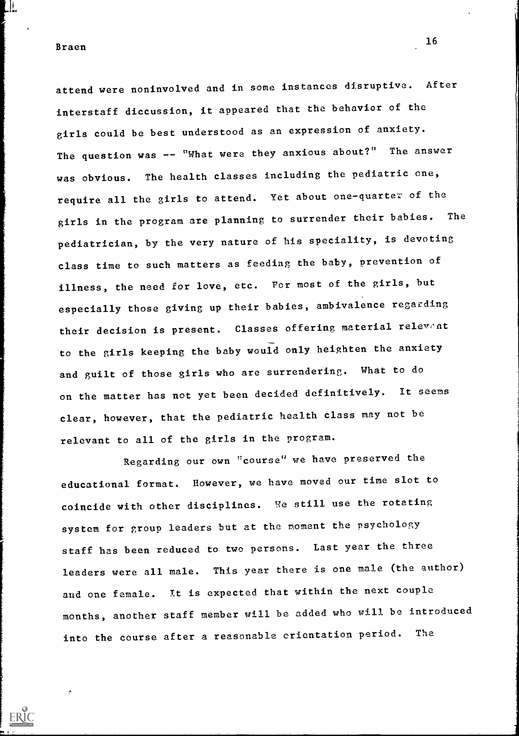<u>||</u>

attend were noninvolved and in some instances disruptive. After interstaff diccussion, it appeared that the behavior of the girls could be best understood as an expression of anxiety. The question was -- "What were they anxious about?" The answer was obvious. The health classes including the pediatric one, require all the girls to attend. Yet about one-quarter of the girls in the program are planning to surrender their babies. The pediatrician, by the very nature of his speciality, is devoting class time to such matters as feeding the baby, prevention of illness, the need for love, etc. For most of the girls, but especially those giving up their babies, ambivalence regarding their decision is present. Classes offering material relevent to the girls keeping the baby would only heighten the anxiety and guilt of those girls who are surrendering. What to do on the matter has not yet been decided definitively. It seems clear, however, that the pediatric health class may not be relevant to all of the girls in the program.

Regarding our own "course" we have preserved the educational format. However, we have moved our time slot to coincide with other disciplines. We still use the rotating system for group leaders but at the moment the psychology staff has been reduced to two persons. Last year the three leaders were all male. This year there is one male (the author) and one female. It is expected that within the next couple months, another staff member will be added who will be introduced into the course after a reasonable orientation period. The

16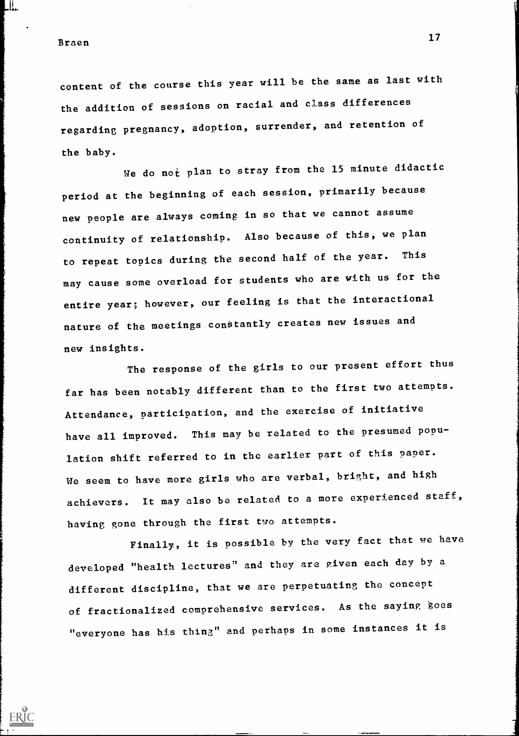Braen <sup>17</sup>

L ||<br>L || || ||

content of the course this year will be the same as last with the addition of sessions on racial and class differences regarding pregnancy, adoption, surrender, and retention of the baby.

We do not plan to stray from the 15 minute didactic period at the beginning of each session, primarily because new people are always coming in so that we cannot assume continuity of relationship. Also because of this, we plan to repeat topics during the second half of the year. This may cause some overload for students who are with us for the entire year; however, our feeling is that the interactional nature of the meetings constantly creates new issues and new insights.

The response of the girls to our present effort thus far has been notably different than to the first two attempts. Attendance, participation, and the exercise of initiative have all improved. This may be related to the presumed population shift referred to in the earlier part of this paper. We seem to have more girls who are verbal, bright, and high achievers. It may also be related to a more experienced staff, having gone through the first two attempts.

Finally, it is possible by the very fact that we have developed "health lectures" and they are given each day by a different discipline, that we are perpetuating the concept of fractionalized comprehensive services. As the saying goes "everyone has his thing" and perhaps in some instances it is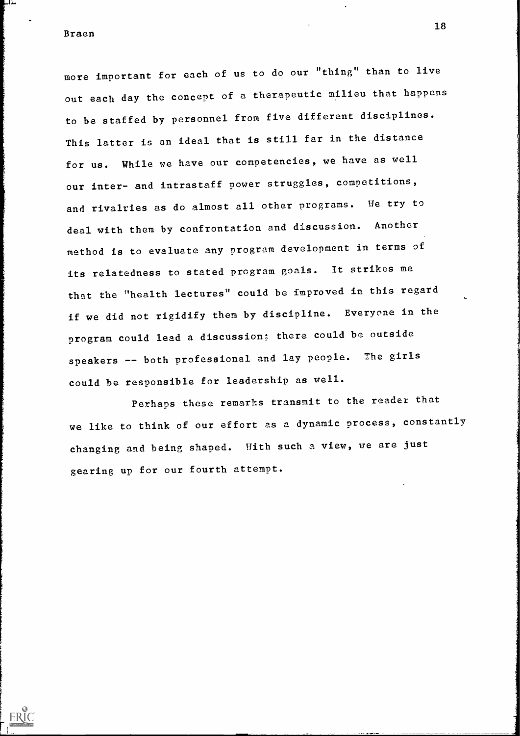مذلہ

ERIC

more important for each of us to do our "thing" than to live out each day the concept of a therapeutic milieu that happens to be staffed by personnel from five different disciplines. This latter is an ideal that is still far in the distance for us. While we have our competencies, we have as well our inter- and intrastaff power struggles, competitions, and rivalries as do almost all other programs. We try to deal with them by confrontation and discussion. Another method is to evaluate any program development in terms of its relatedness to stated program goals. It strikes me that the "health lectures" could be improved in this regard if we did not rigidify them by discipline. Everyone in the program could lead a discussion; there could be outside speakers -- both professional and lay people. The girls could be responsible for leadership as well.

Perhaps these remarks transmit to the reader that we like to think of our effort as a dynamic process, constantly changing and being shaped. With such a view, we are just gearing up for our fourth attempt.

18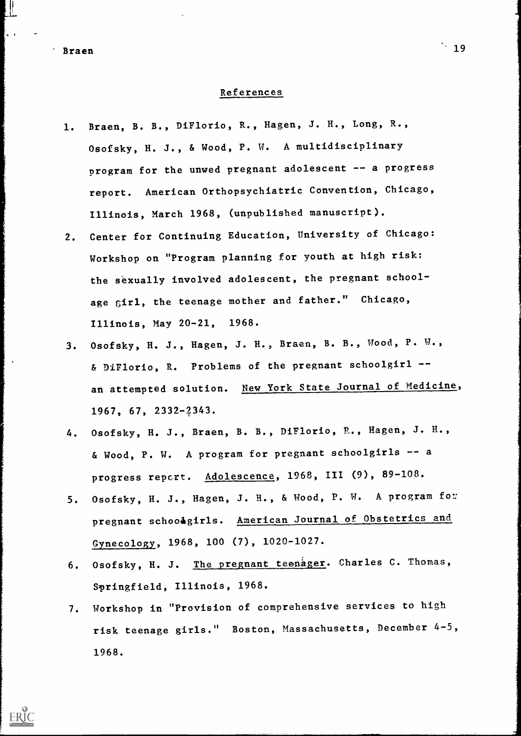### References

- 1. Braen, B. B., DiFlorio, R., Hagen, J. H., Long, R., Osofsky, H. J., & Wood, P. W. A multidisciplinary program for the unwed pregnant adolescent -- a progress report. American Orthopsychiatric Convention, Chicago, Illinois, March 1968, (unpublished manuscript).
- 2. Center for Continuing Education, University of Chicago: Workshop on "Program planning for youth at high risk: the sexually involved adolescent, the pregnant schoolage girl, the teenage mother and father." Chicago, Illinois, May 20-21, 1968.
- 3. Osofsky, H. J., Hagen, J. H., Braen, B. B., Wood, P. W., & DiFlorio, R. Problems of the pregnant schoolgirl - an attempted solution. New York State Journal of Medicine, 1967, 67, 2332-2343.
- 4. Osofsky, H. J., Braen, B. B., DiFlorio, R., Hagen, J. H., & Wood, P. W. A program for pregnant schoolgirls -- a progress repert. Adolescence, 1968, III (9), 89-108.
- 5. Osofsky, H. J., Hagen, J. H., & Wood, P. W. A program for pregnant schoodgirls. American Journal of Obstetrics and Gynecology, 1968, 100 (7), 1020-1027.
- 6. Osofsky, H. J. The pregnant teenager. Charles C. Thomas, Syringfield, Illinois, 1968.
- 7. Workshop in "Provision of comprehensive services to high risk teenage girls." Boston, Massachusetts, December 4-5, 1968.

ERIC